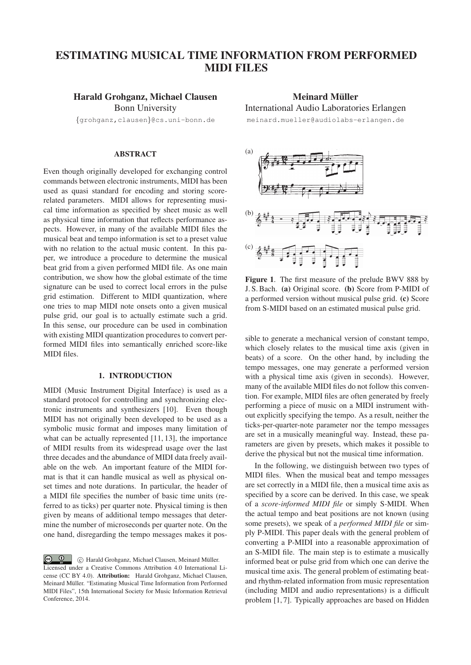# ESTIMATING MUSICAL TIME INFORMATION FROM PERFORMED MIDI FILES

## Harald Grohganz, Michael Clausen

Bonn University {grohganz,clausen}@cs.uni-bonn.de

#### ABSTRACT

Even though originally developed for exchanging control commands between electronic instruments, MIDI has been used as quasi standard for encoding and storing scorerelated parameters. MIDI allows for representing musical time information as specified by sheet music as well as physical time information that reflects performance aspects. However, in many of the available MIDI files the musical beat and tempo information is set to a preset value with no relation to the actual music content. In this paper, we introduce a procedure to determine the musical beat grid from a given performed MIDI file. As one main contribution, we show how the global estimate of the time signature can be used to correct local errors in the pulse grid estimation. Different to MIDI quantization, where one tries to map MIDI note onsets onto a given musical pulse grid, our goal is to actually estimate such a grid. In this sense, our procedure can be used in combination with existing MIDI quantization procedures to convert performed MIDI files into semantically enriched score-like MIDI files.

## 1. INTRODUCTION

MIDI (Music Instrument Digital Interface) is used as a standard protocol for controlling and synchronizing electronic instruments and synthesizers [10]. Even though MIDI has not originally been developed to be used as a symbolic music format and imposes many limitation of what can be actually represented [11, 13], the importance of MIDI results from its widespread usage over the last three decades and the abundance of MIDI data freely available on the web. An important feature of the MIDI format is that it can handle musical as well as physical onset times and note durations. In particular, the header of a MIDI file specifies the number of basic time units (referred to as ticks) per quarter note. Physical timing is then given by means of additional tempo messages that determine the number of microseconds per quarter note. On the one hand, disregarding the tempo messages makes it pos-

 $\left($  $\odot$  Harald Grohganz, Michael Clausen, Meinard Müller. Licensed under a Creative Commons Attribution 4.0 International License (CC BY 4.0). Attribution: Harald Grohganz, Michael Clausen, Meinard Müller. "Estimating Musical Time Information from Performed MIDI Files", 15th International Society for Music Information Retrieval Conference, 2014.

## Meinard Müller

## International Audio Laboratories Erlangen

meinard.mueller@audiolabs-erlangen.de



Figure 1. The first measure of the prelude BWV 888 by J. S. Bach. (a) Original score. (b) Score from P-MIDI of a performed version without musical pulse grid. (c) Score from S-MIDI based on an estimated musical pulse grid.

sible to generate a mechanical version of constant tempo, which closely relates to the musical time axis (given in beats) of a score. On the other hand, by including the tempo messages, one may generate a performed version with a physical time axis (given in seconds). However, many of the available MIDI files do not follow this convention. For example, MIDI files are often generated by freely performing a piece of music on a MIDI instrument without explicitly specifying the tempo. As a result, neither the ticks-per-quarter-note parameter nor the tempo messages are set in a musically meaningful way. Instead, these parameters are given by presets, which makes it possible to derive the physical but not the musical time information.

In the following, we distinguish between two types of MIDI files. When the musical beat and tempo messages are set correctly in a MIDI file, then a musical time axis as specified by a score can be derived. In this case, we speak of a *score-informed MIDI file* or simply S-MIDI. When the actual tempo and beat positions are not known (using some presets), we speak of a *performed MIDI file* or simply P-MIDI. This paper deals with the general problem of converting a P-MIDI into a reasonable approximation of an S-MIDI file. The main step is to estimate a musically informed beat or pulse grid from which one can derive the musical time axis. The general problem of estimating beatand rhythm-related information from music representation (including MIDI and audio representations) is a difficult problem [1, 7]. Typically approaches are based on Hidden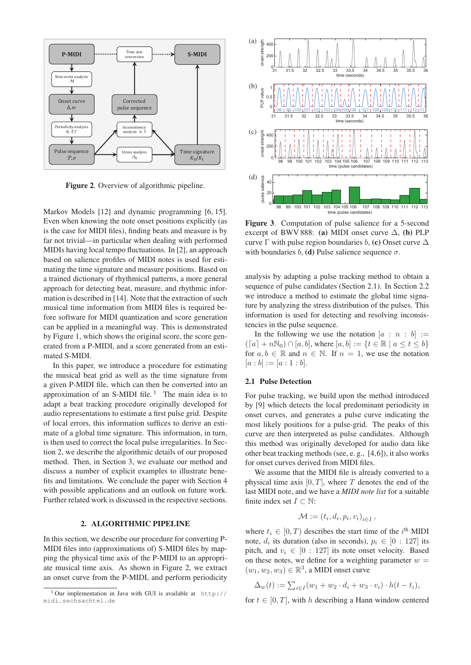

Figure 2. Overview of algorithmic pipeline.

Markov Models [12] and dynamic programming [6, 15]. Even when knowing the note onset positions explicitly (as is the case for MIDI files), finding beats and measure is by far not trivial—in particular when dealing with performed MIDIs having local tempo fluctuations. In [2], an approach based on salience profiles of MIDI notes is used for estimating the time signature and measure positions. Based on a trained dictionary of rhythmical patterns, a more general approach for detecting beat, measure, and rhythmic information is described in [14]. Note that the extraction of such musical time information from MIDI files is required before software for MIDI quantization and score generation can be applied in a meaningful way. This is demonstrated by Figure 1, which shows the original score, the score generated from a P-MIDI, and a score generated from an estimated S-MIDI.

In this paper, we introduce a procedure for estimating the musical beat grid as well as the time signature from a given P-MIDI file, which can then be converted into an approximation of an S-MIDI file.<sup>1</sup> The main idea is to adapt a beat tracking procedure originally developed for audio representations to estimate a first pulse grid. Despite of local errors, this information suffices to derive an estimate of a global time signature. This information, in turn, is then used to correct the local pulse irregularities. In Section 2, we describe the algorithmic details of our proposed method. Then, in Section 3, we evaluate our method and discuss a number of explicit examples to illustrate benefits and limitations. We conclude the paper with Section 4 with possible applications and an outlook on future work. Further related work is discussed in the respective sections.

### 2. ALGORITHMIC PIPELINE

In this section, we describe our procedure for converting P-MIDI files into (approximations of) S-MIDI files by mapping the physical time axis of the P-MIDI to an appropriate musical time axis. As shown in Figure 2, we extract an onset curve from the P-MIDI, and perform periodicity



Figure 3. Computation of pulse salience for a 5-second excerpt of BWV 888: (a) MIDI onset curve  $\Delta$ , (b) PLP curve  $\Gamma$  with pulse region boundaries b, (c) Onset curve  $\Delta$ with boundaries b, (d) Pulse salience sequence  $\sigma$ .

analysis by adapting a pulse tracking method to obtain a sequence of pulse candidates (Section 2.1). In Section 2.2 we introduce a method to estimate the global time signature by analyzing the stress distribution of the pulses. This information is used for detecting and resolving inconsistencies in the pulse sequence.

In the following we use the notation  $[a : n : b] :=$  $(a + n\mathbb{N}_0) \cap [a, b],$  where  $[a, b] := \{t \in \mathbb{K} \mid a \le t \le b\}$ <br>for  $a, b \in \mathbb{R}$  and  $n \in \mathbb{N}$ . If  $n = 1$ , we use the notation  $(a + nN_0) \cap [a, b]$ , where  $[a, b] := \{t \in \mathbb{R} \mid a \le t \le b\}$  $[a : b] := [a : 1 : b].$ 

#### 2.1 Pulse Detection

For pulse tracking, we build upon the method introduced by [9] which detects the local predominant periodicity in onset curves, and generates a pulse curve indicating the most likely positions for a pulse-grid. The peaks of this curve are then interpreted as pulse candidates. Although this method was originally developed for audio data like other beat tracking methods (see, e. g., [4,6]), it also works for onset curves derived from MIDI files.

We assume that the MIDI file is already converted to a physical time axis  $[0, T]$ , where T denotes the end of the last MIDI note, and we have a *MIDI note list* for a suitable finite index set  $I \subset \mathbb{N}$ :

$$
\mathcal{M} := (t_i, d_i, p_i, v_i)_{i \in I},
$$

where  $t_i \in [0, T)$  describes the start time of the i<sup>th</sup> MIDI<br>note d, its duration (also in seconds),  $v_i \in [0, 127]$  its note,  $d_i$  its duration (also in seconds),  $p_i \in [0 : 127]$  its pitch, and  $v_i \in [0 : 127]$  its note onset velocity. Based on these notes, we define for a weighting parameter  $w =$  $(w_1, w_2, w_3) \in \mathbb{R}^3$ , a MIDI onset curve

$$
\Delta_w(t) := \sum_{i \in I} (w_1 + w_2 \cdot d_i + w_3 \cdot v_i) \cdot h(t - t_i),
$$

for  $t \in [0, T]$ , with h describing a Hann window centered

<sup>&</sup>lt;sup>1</sup> Our implementation in Java with GUI is available at http:// midi.sechsachtel.de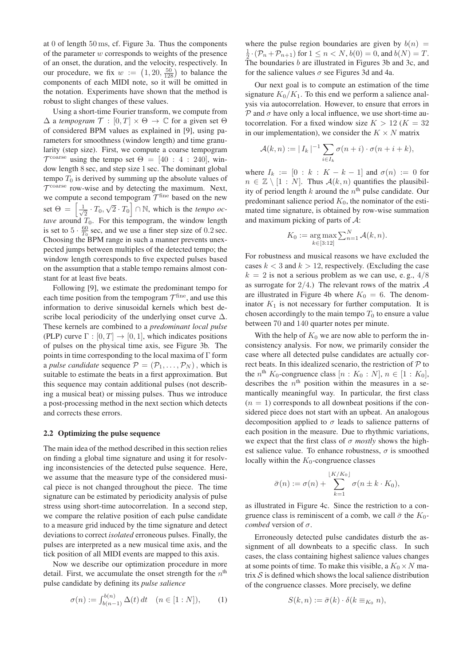at 0 of length 50 ms, cf. Figure 3a. Thus the components of the parameter  $w$  corresponds to weights of the presence of an onset, the duration, and the velocity, respectively. In our procedure, we fix  $w := (1, 20, \frac{50}{128})$  to balance the components of each MIDI note so it will be omitted in components of each MIDI note, so it will be omitted in the notation. Experiments have shown that the method is robust to slight changes of these values.

Using a short-time Fourier transform, we compute from  $\Delta$  a *tempogram*  $\mathcal{T} : [0, T] \times \Theta \rightarrow \mathbb{C}$  for a given set  $\Theta$ of considered BPM values as explained in [9], using parameters for smoothness (window length) and time granularity (step size). First, we compute a coarse tempogram  $\mathcal{T}^{\text{coarse}}$  using the tempo set  $\Theta = [40 : 4 : 240]$ , window length 8 sec, and step size 1 sec. The dominant global tempo  $T_0$  is derived by summing up the absolute values of  $\mathcal{T}^{\text{coarse}}$  row-wise and by detecting the maximum. Next, we compute a second tempogram  $\mathcal{T}^{\text{fine}}$  based on the new set  $\Theta = \left[\frac{1}{\sqrt{2}} \cdot T_0, \sqrt{2} \cdot T_0\right] \cap \mathbb{N}$ , which is the *tempo octave* around  $T_0$ . For this tempogram, the window length is set to  $5 \cdot \frac{60}{T_0}$  sec, and we use a finer step size of 0.2 sec. Choosing the BPM range in such a manner prevents unexpected jumps between multiples of the detected tempo; the window length corresponds to five expected pulses based on the assumption that a stable tempo remains almost constant for at least five beats.

Following [9], we estimate the predominant tempo for each time position from the tempogram  $\mathcal{T}^{\text{fine}}$ , and use this information to derive sinusoidal kernels which best describe local periodicity of the underlying onset curve  $\Delta$ . These kernels are combined to a *predominant local pulse* (PLP) curve  $\Gamma : [0, T] \to [0, 1]$ , which indicates positions of pulses on the physical time axis, see Figure 3b. The points in time corresponding to the local maxima of Γ form a *pulse candidate* sequence  $\mathcal{P} = (\mathcal{P}_1, \dots, \mathcal{P}_N)$ , which is suitable to estimate the beats in a first approximation. But this sequence may contain additional pulses (not describing a musical beat) or missing pulses. Thus we introduce a post-processing method in the next section which detects and corrects these errors.

#### 2.2 Optimizing the pulse sequence

The main idea of the method described in this section relies on finding a global time signature and using it for resolving inconsistencies of the detected pulse sequence. Here, we assume that the measure type of the considered musical piece is not changed throughout the piece. The time signature can be estimated by periodicity analysis of pulse stress using short-time autocorrelation. In a second step, we compare the relative position of each pulse candidate to a measure grid induced by the time signature and detect deviations to correct *isolated* erroneous pulses. Finally, the pulses are interpreted as a new musical time axis, and the tick position of all MIDI events are mapped to this axis.

Now we describe our optimization procedure in more detail. First, we accumulate the onset strength for the  $n<sup>th</sup>$ pulse candidate by defining its *pulse salience*

$$
\sigma(n) := \int_{b(n-1)}^{b(n)} \Delta(t) dt \quad (n \in [1:N]), \tag{1}
$$

where the pulse region boundaries are given by  $b(n)$  =  $\frac{1}{2} \cdot (P_n + P_{n+1})$  for  $1 \leq n < N$ ,  $b(0) = 0$ , and  $b(N) = T$ .<br>The boundaries h are illustrated in Figures 3b and 3c, and The boundaries b are illustrated in Figures 3b and 3c, and for the salience values  $\sigma$  see Figures 3d and 4a.

Our next goal is to compute an estimation of the time signature  $K_0/K_1$ . To this end we perform a salience analysis via autocorrelation. However, to ensure that errors in  $P$  and  $\sigma$  have only a local influence, we use short-time autocorrelation. For a fixed window size  $K > 12$  ( $K = 32$ ) in our implementation), we consider the  $K \times N$  matrix

$$
\mathcal{A}(k,n) := |I_k|^{-1} \sum_{i \in I_k} \sigma(n+i) \cdot \sigma(n+i+k),
$$

where  $I_k := [0 : k : K - k - 1]$  and  $\sigma(n) := 0$  for  $n \in \mathbb{Z} \setminus [1 : N]$ . Thus  $\mathcal{A}(k, n)$  quantifies the plausibility of period length k around the  $n<sup>th</sup>$  pulse candidate. Our predominant salience period  $K_0$ , the nominator of the estimated time signature, is obtained by row-wise summation and maximum picking of parts of A:

$$
K_0 := \underset{k \in [3:12]}{\arg \max} \sum_{n=1}^N \mathcal{A}(k, n).
$$

For robustness and musical reasons we have excluded the cases  $k < 3$  and  $k > 12$ , respectively. (Excluding the case  $k = 2$  is not a serious problem as we can use, e.g.,  $4/8$ as surrogate for  $2/4$ .) The relevant rows of the matrix  $A$ are illustrated in Figure 4b where  $K_0 = 6$ . The denominator  $K_1$  is not necessary for further computation. It is chosen accordingly to the main tempo  $T_0$  to ensure a value between 70 and 140 quarter notes per minute.

With the help of  $K_0$  we are now able to perform the inconsistency analysis. For now, we primarily consider the case where all detected pulse candidates are actually correct beats. In this idealized scenario, the restriction of  $P$  to the  $n^{\text{th}} K_0$ -congruence class  $[n: K_0: N]$ ,  $n \in [1: K_0]$ , describes the  $n<sup>th</sup>$  position within the measures in a semantically meaningful way. In particular, the first class  $(n = 1)$  corresponds to all downbeat positions if the considered piece does not start with an upbeat. An analogous decomposition applied to  $\sigma$  leads to salience patterns of each position in the measure. Due to rhythmic variations, we expect that the first class of  $\sigma$  *mostly* shows the highest salience value. To enhance robustness,  $\sigma$  is smoothed locally within the  $K_0$ -congruence classes

$$
\bar{\sigma}(n) := \sigma(n) + \sum_{k=1}^{\lfloor K/K_0 \rfloor} \sigma(n \pm k \cdot K_0),
$$

as illustrated in Figure 4c. Since the restriction to a congruence class is reminiscent of a comb, we call  $\bar{\sigma}$  the  $K_0$ *combed* version of  $\sigma$ .

Erroneously detected pulse candidates disturb the assignment of all downbeats to a specific class. In such cases, the class containing highest salience values changes at some points of time. To make this visible, a  $K_0 \times N$  matrix  $S$  is defined which shows the local salience distribution of the congruence classes. More precisely, we define

$$
S(k,n) := \bar{\sigma}(k) \cdot \delta(k \equiv_{K_0} n),
$$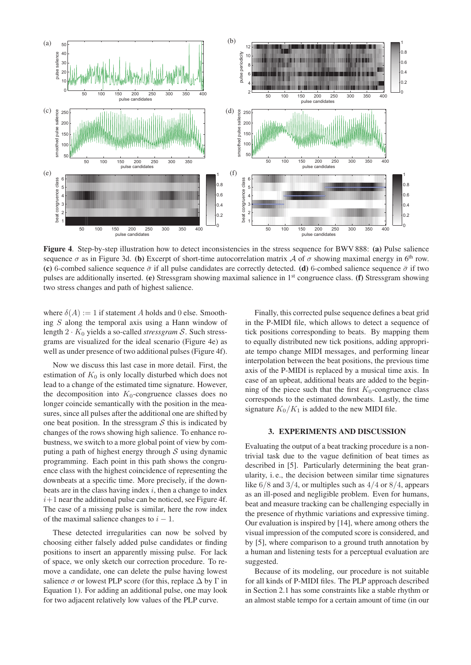

Figure 4. Step-by-step illustration how to detect inconsistencies in the stress sequence for BWV 888: (a) Pulse salience sequence  $\sigma$  as in Figure 3d. (b) Excerpt of short-time autocorrelation matrix A of  $\sigma$  showing maximal energy in 6<sup>th</sup> row. (c) 6-combed salience sequence  $\bar{\sigma}$  if all pulse candidates are correctly detected. (d) 6-combed salience sequence  $\bar{\sigma}$  if two pulses are additionally inserted. (e) Stressgram showing maximal salience in 1st congruence class. (f) Stressgram showing two stress changes and path of highest salience.

where  $\delta(A) := 1$  if statement A holds and 0 else. Smoothing S along the temporal axis using a Hann window of length  $2 \cdot K_0$  yields a so-called *stressgram* S. Such stressgrams are visualized for the ideal scenario (Figure 4e) as well as under presence of two additional pulses (Figure 4f).

Now we discuss this last case in more detail. First, the estimation of  $K_0$  is only locally disturbed which does not lead to a change of the estimated time signature. However, the decomposition into  $K_0$ -congruence classes does no longer coincide semantically with the position in the measures, since all pulses after the additional one are shifted by one beat position. In the stressgram  $S$  this is indicated by changes of the rows showing high salience. To enhance robustness, we switch to a more global point of view by computing a path of highest energy through  $S$  using dynamic programming. Each point in this path shows the congruence class with the highest coincidence of representing the downbeats at a specific time. More precisely, if the downbeats are in the class having index  $i$ , then a change to index  $i+1$  near the additional pulse can be noticed, see Figure 4f. The case of a missing pulse is similar, here the row index of the maximal salience changes to  $i - 1$ .

These detected irregularities can now be solved by choosing either falsely added pulse candidates or finding positions to insert an apparently missing pulse. For lack of space, we only sketch our correction procedure. To remove a candidate, one can delete the pulse having lowest salience  $\sigma$  or lowest PLP score (for this, replace  $\Delta$  by  $\Gamma$  in Equation 1). For adding an additional pulse, one may look for two adjacent relatively low values of the PLP curve.

Finally, this corrected pulse sequence defines a beat grid in the P-MIDI file, which allows to detect a sequence of tick positions corresponding to beats. By mapping them to equally distributed new tick positions, adding appropriate tempo change MIDI messages, and performing linear interpolation between the beat positions, the previous time axis of the P-MIDI is replaced by a musical time axis. In case of an upbeat, additional beats are added to the beginning of the piece such that the first  $K_0$ -congruence class corresponds to the estimated downbeats. Lastly, the time signature  $K_0/K_1$  is added to the new MIDI file.

#### 3. EXPERIMENTS AND DISCUSSION

Evaluating the output of a beat tracking procedure is a nontrivial task due to the vague definition of beat times as described in [5]. Particularly determining the beat granularity, i. e., the decision between similar time signatures like  $6/8$  and  $3/4$ , or multiples such as  $4/4$  or  $8/4$ , appears as an ill-posed and negligible problem. Even for humans, beat and measure tracking can be challenging especially in the presence of rhythmic variations and expressive timing. Our evaluation is inspired by [14], where among others the visual impression of the computed score is considered, and by [5], where comparison to a ground truth annotation by a human and listening tests for a perceptual evaluation are suggested.

Because of its modeling, our procedure is not suitable for all kinds of P-MIDI files. The PLP approach described in Section 2.1 has some constraints like a stable rhythm or an almost stable tempo for a certain amount of time (in our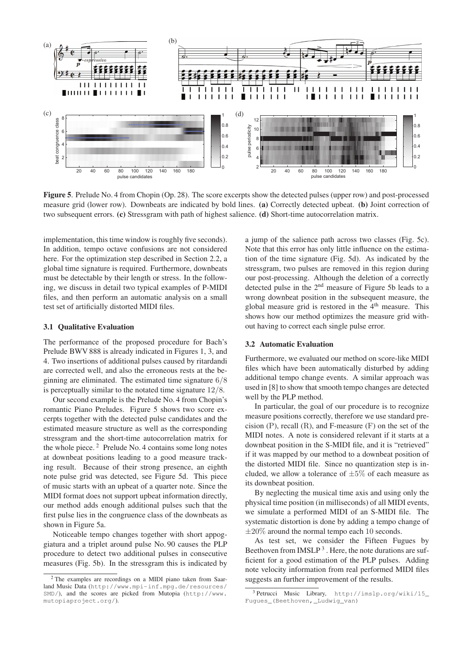

Figure 5. Prelude No. 4 from Chopin (Op. 28). The score excerpts show the detected pulses (upper row) and post-processed measure grid (lower row). Downbeats are indicated by bold lines. (a) Correctly detected upbeat. (b) Joint correction of two subsequent errors. (c) Stressgram with path of highest salience. (d) Short-time autocorrelation matrix.

implementation, this time window is roughly five seconds). In addition, tempo octave confusions are not considered here. For the optimization step described in Section 2.2, a global time signature is required. Furthermore, downbeats must be detectable by their length or stress. In the following, we discuss in detail two typical examples of P-MIDI files, and then perform an automatic analysis on a small test set of artificially distorted MIDI files.

#### 3.1 Qualitative Evaluation

The performance of the proposed procedure for Bach's Prelude BWV 888 is already indicated in Figures 1, 3, and 4. Two insertions of additional pulses caused by ritardandi are corrected well, and also the erroneous rests at the beginning are eliminated. The estimated time signature 6/8 is perceptually similar to the notated time signature 12/8.

Our second example is the Prelude No. 4 from Chopin's romantic Piano Preludes. Figure 5 shows two score excerpts together with the detected pulse candidates and the estimated measure structure as well as the corresponding stressgram and the short-time autocorrelation matrix for the whole piece. <sup>2</sup> Prelude No. 4 contains some long notes at downbeat positions leading to a good measure tracking result. Because of their strong presence, an eighth note pulse grid was detected, see Figure 5d. This piece of music starts with an upbeat of a quarter note. Since the MIDI format does not support upbeat information directly, our method adds enough additional pulses such that the first pulse lies in the congruence class of the downbeats as shown in Figure 5a.

Noticeable tempo changes together with short appoggiatura and a triplet around pulse No. 90 causes the PLP procedure to detect two additional pulses in consecutive measures (Fig. 5b). In the stressgram this is indicated by a jump of the salience path across two classes (Fig. 5c). Note that this error has only little influence on the estimation of the time signature (Fig. 5d). As indicated by the stressgram, two pulses are removed in this region during our post-processing. Although the deletion of a correctly detected pulse in the 2nd measure of Figure 5b leads to a wrong downbeat position in the subsequent measure, the global measure grid is restored in the  $4<sup>th</sup>$  measure. This shows how our method optimizes the measure grid without having to correct each single pulse error.

#### 3.2 Automatic Evaluation

Furthermore, we evaluated our method on score-like MIDI files which have been automatically disturbed by adding additional tempo change events. A similar approach was used in [8] to show that smooth tempo changes are detected well by the PLP method.

In particular, the goal of our procedure is to recognize measure positions correctly, therefore we use standard precision  $(P)$ , recall  $(R)$ , and F-measure  $(F)$  on the set of the MIDI notes. A note is considered relevant if it starts at a downbeat position in the S-MIDI file, and it is "retrieved" if it was mapped by our method to a downbeat position of the distorted MIDI file. Since no quantization step is included, we allow a tolerance of  $\pm 5\%$  of each measure as its downbeat position.

By neglecting the musical time axis and using only the physical time position (in milliseconds) of all MIDI events, we simulate a performed MIDI of an S-MIDI file. The systematic distortion is done by adding a tempo change of  $\pm 20\%$  around the normal tempo each 10 seconds.

As test set, we consider the Fifteen Fugues by Beethoven from  $IMSLP<sup>3</sup>$ . Here, the note durations are sufficient for a good estimation of the PLP pulses. Adding note velocity information from real performed MIDI files suggests an further improvement of the results.

<sup>2</sup> The examples are recordings on a MIDI piano taken from Saarland Music Data (http://www.mpi-inf.mpg.de/resources/ SMD/), and the scores are picked from Mutopia (http://www. mutopiaproject.org/).

<sup>3</sup> Petrucci Music Library, http://imslp.org/wiki/15\_ Fugues\_(Beethoven,\_Ludwig\_van)